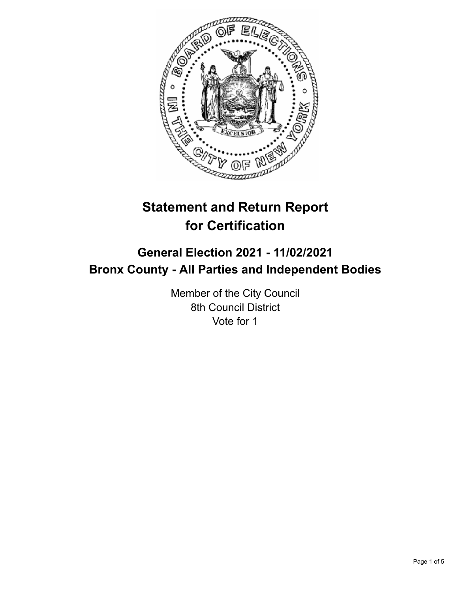

# **Statement and Return Report for Certification**

## **General Election 2021 - 11/02/2021 Bronx County - All Parties and Independent Bodies**

Member of the City Council 8th Council District Vote for 1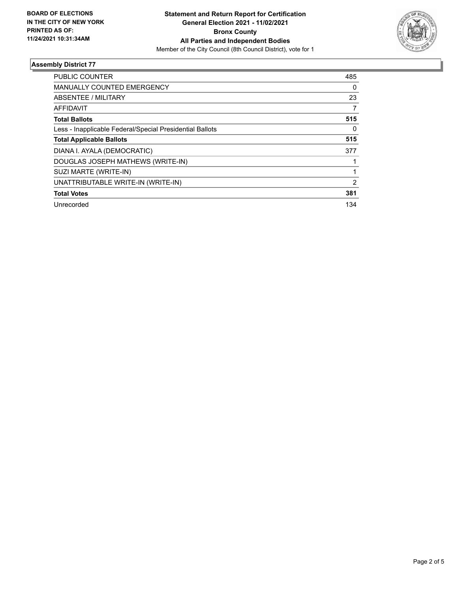

#### **Assembly District 77**

| <b>PUBLIC COUNTER</b>                                    | 485            |
|----------------------------------------------------------|----------------|
| <b>MANUALLY COUNTED EMERGENCY</b>                        | 0              |
| ABSENTEE / MILITARY                                      | 23             |
| AFFIDAVIT                                                | 7              |
| <b>Total Ballots</b>                                     | 515            |
| Less - Inapplicable Federal/Special Presidential Ballots | $\Omega$       |
| <b>Total Applicable Ballots</b>                          | 515            |
| DIANA I. AYALA (DEMOCRATIC)                              | 377            |
| DOUGLAS JOSEPH MATHEWS (WRITE-IN)                        |                |
| SUZI MARTE (WRITE-IN)                                    |                |
| UNATTRIBUTABLE WRITE-IN (WRITE-IN)                       | $\overline{2}$ |
| <b>Total Votes</b>                                       | 381            |
| Unrecorded                                               | 134            |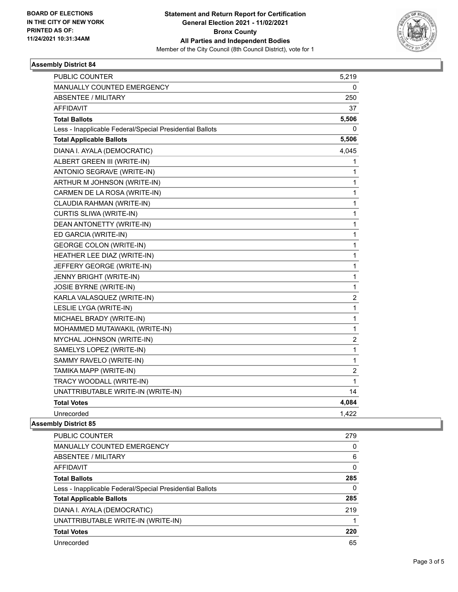

#### **Assembly District 84**

| PUBLIC COUNTER                                           | 5,219                   |
|----------------------------------------------------------|-------------------------|
| MANUALLY COUNTED EMERGENCY                               | 0                       |
| <b>ABSENTEE / MILITARY</b>                               | 250                     |
| AFFIDAVIT                                                | 37                      |
| <b>Total Ballots</b>                                     | 5,506                   |
| Less - Inapplicable Federal/Special Presidential Ballots | 0                       |
| <b>Total Applicable Ballots</b>                          | 5,506                   |
| DIANA I. AYALA (DEMOCRATIC)                              | 4,045                   |
| ALBERT GREEN III (WRITE-IN)                              | 1                       |
| ANTONIO SEGRAVE (WRITE-IN)                               | 1                       |
| ARTHUR M JOHNSON (WRITE-IN)                              | 1                       |
| CARMEN DE LA ROSA (WRITE-IN)                             | 1                       |
| CLAUDIA RAHMAN (WRITE-IN)                                | 1                       |
| CURTIS SLIWA (WRITE-IN)                                  | 1                       |
| DEAN ANTONETTY (WRITE-IN)                                | 1                       |
| ED GARCIA (WRITE-IN)                                     | 1                       |
| <b>GEORGE COLON (WRITE-IN)</b>                           | 1                       |
| HEATHER LEE DIAZ (WRITE-IN)                              | 1                       |
| JEFFERY GEORGE (WRITE-IN)                                | 1                       |
| JENNY BRIGHT (WRITE-IN)                                  | 1                       |
| <b>JOSIE BYRNE (WRITE-IN)</b>                            | 1                       |
| KARLA VALASQUEZ (WRITE-IN)                               | $\overline{\mathbf{c}}$ |
| LESLIE LYGA (WRITE-IN)                                   | $\mathbf{1}$            |
| MICHAEL BRADY (WRITE-IN)                                 | 1                       |
| MOHAMMED MUTAWAKIL (WRITE-IN)                            | 1                       |
| MYCHAL JOHNSON (WRITE-IN)                                | $\overline{\mathbf{c}}$ |
| SAMELYS LOPEZ (WRITE-IN)                                 | $\mathbf{1}$            |
| SAMMY RAVELO (WRITE-IN)                                  | 1                       |
| TAMIKA MAPP (WRITE-IN)                                   | $\overline{c}$          |
| TRACY WOODALL (WRITE-IN)                                 | 1                       |
| UNATTRIBUTABLE WRITE-IN (WRITE-IN)                       | 14                      |
| <b>Total Votes</b>                                       | 4,084                   |
| Unrecorded                                               | 1,422                   |
| nhlu Dietriet 0E                                         |                         |

### **Assembly District 85**

| <b>PUBLIC COUNTER</b>                                    | 279      |
|----------------------------------------------------------|----------|
| <b>MANUALLY COUNTED EMERGENCY</b>                        | 0        |
| ABSENTEE / MILITARY                                      | 6        |
| AFFIDAVIT                                                | $\Omega$ |
| <b>Total Ballots</b>                                     | 285      |
| Less - Inapplicable Federal/Special Presidential Ballots | 0        |
| <b>Total Applicable Ballots</b>                          | 285      |
| DIANA I. AYALA (DEMOCRATIC)                              | 219      |
| UNATTRIBUTABLE WRITE-IN (WRITE-IN)                       |          |
| <b>Total Votes</b>                                       | 220      |
| Unrecorded                                               | 65       |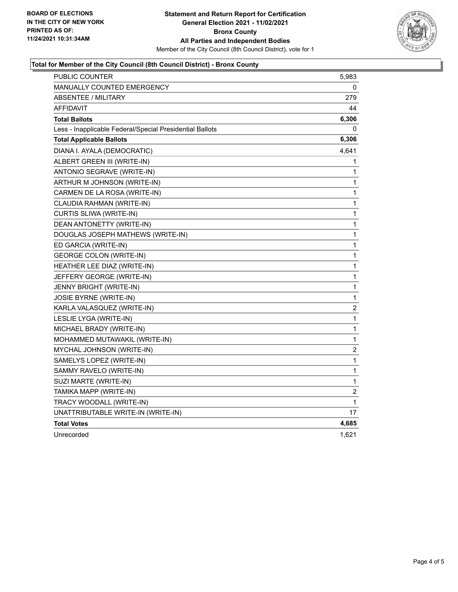

#### **Total for Member of the City Council (8th Council District) - Bronx County**

| PUBLIC COUNTER                                           | 5,983                   |
|----------------------------------------------------------|-------------------------|
| <b>MANUALLY COUNTED EMERGENCY</b>                        | 0                       |
| <b>ABSENTEE / MILITARY</b>                               | 279                     |
| <b>AFFIDAVIT</b>                                         | 44                      |
| <b>Total Ballots</b>                                     | 6,306                   |
| Less - Inapplicable Federal/Special Presidential Ballots | 0                       |
| <b>Total Applicable Ballots</b>                          | 6,306                   |
| DIANA I. AYALA (DEMOCRATIC)                              | 4,641                   |
| ALBERT GREEN III (WRITE-IN)                              | 1                       |
| ANTONIO SEGRAVE (WRITE-IN)                               | 1                       |
| ARTHUR M JOHNSON (WRITE-IN)                              | 1                       |
| CARMEN DE LA ROSA (WRITE-IN)                             | 1                       |
| CLAUDIA RAHMAN (WRITE-IN)                                | 1                       |
| CURTIS SLIWA (WRITE-IN)                                  | 1                       |
| DEAN ANTONETTY (WRITE-IN)                                | 1                       |
| DOUGLAS JOSEPH MATHEWS (WRITE-IN)                        | 1                       |
| ED GARCIA (WRITE-IN)                                     | 1                       |
| <b>GEORGE COLON (WRITE-IN)</b>                           | 1                       |
| HEATHER LEE DIAZ (WRITE-IN)                              | 1                       |
| JEFFERY GEORGE (WRITE-IN)                                | 1                       |
| JENNY BRIGHT (WRITE-IN)                                  | 1                       |
| <b>JOSIE BYRNE (WRITE-IN)</b>                            | 1                       |
| KARLA VALASQUEZ (WRITE-IN)                               | $\overline{c}$          |
| LESLIE LYGA (WRITE-IN)                                   | 1                       |
| MICHAEL BRADY (WRITE-IN)                                 | 1                       |
| MOHAMMED MUTAWAKIL (WRITE-IN)                            | 1                       |
| MYCHAL JOHNSON (WRITE-IN)                                | $\overline{\mathbf{c}}$ |
| SAMELYS LOPEZ (WRITE-IN)                                 | 1                       |
| SAMMY RAVELO (WRITE-IN)                                  | 1                       |
| SUZI MARTE (WRITE-IN)                                    | 1                       |
| TAMIKA MAPP (WRITE-IN)                                   | $\overline{\mathbf{c}}$ |
| TRACY WOODALL (WRITE-IN)                                 | 1                       |
| UNATTRIBUTABLE WRITE-IN (WRITE-IN)                       | 17                      |
| <b>Total Votes</b>                                       | 4,685                   |
| Unrecorded                                               | 1,621                   |